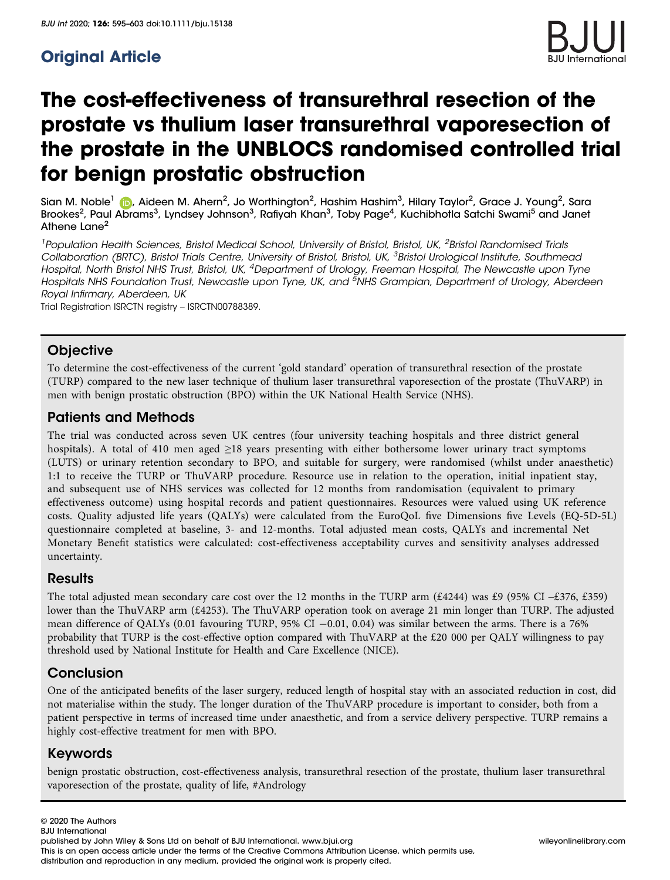# Original Article



# The cost-effectiveness of transurethral resection of the prostate vs thulium laser transurethral vaporesection of the prostate in the UNBLOCS randomised controlled trial for benign prostatic obstruction

Sian M. Noble<sup>[1](https://orcid.org/0000-0002-8011-0722)</sup> (**i.**), Aideen M. Ahern<sup>2</sup>, Jo Worthington<sup>2</sup>, Hashim Hashim<sup>3</sup>, Hilary Taylor<sup>2</sup>, Grace J. Young<sup>2</sup>, Sara Brookes<sup>2</sup>, Paul Abrams<sup>3</sup>, Lyndsey Johnson<sup>3</sup>, Rafiyah Khan<sup>3</sup>, Toby Page<sup>4</sup>, Kuchibhotla Satchi Swami<sup>5</sup> and Janet Athene Lane<sup>2</sup>

<sup>1</sup> Population Health Sciences, Bristol Medical School, University of Bristol, Bristol, UK, <sup>2</sup>Bristol Randomised Trials Collaboration (BRTC), Bristol Trials Centre, University of Bristol, Bristol, UK, <sup>3</sup>Bristol Urological Institute, Southmead Hospital, North Bristol NHS Trust, Bristol, UK, <sup>4</sup>Department of Urology, Freeman Hospital, The Newcastle upon Tyne Hospitals NHS Foundation Trust, Newcastle upon Tyne, UK, and <sup>5</sup>NHS Grampian, Department of Urology, Aberdeen Royal Infirmary, Aberdeen, UK

Trial Registration ISRCTN registry – ISRCTN00788389.

### **Objective**

To determine the cost-effectiveness of the current 'gold standard' operation of transurethral resection of the prostate (TURP) compared to the new laser technique of thulium laser transurethral vaporesection of the prostate (ThuVARP) in men with benign prostatic obstruction (BPO) within the UK National Health Service (NHS).

### Patients and Methods

The trial was conducted across seven UK centres (four university teaching hospitals and three district general hospitals). A total of 410 men aged ≥18 years presenting with either bothersome lower urinary tract symptoms (LUTS) or urinary retention secondary to BPO, and suitable for surgery, were randomised (whilst under anaesthetic) 1:1 to receive the TURP or ThuVARP procedure. Resource use in relation to the operation, initial inpatient stay, and subsequent use of NHS services was collected for 12 months from randomisation (equivalent to primary effectiveness outcome) using hospital records and patient questionnaires. Resources were valued using UK reference costs. Quality adjusted life years (QALYs) were calculated from the EuroQoL five Dimensions five Levels (EQ-5D-5L) questionnaire completed at baseline, 3- and 12-months. Total adjusted mean costs, QALYs and incremental Net Monetary Benefit statistics were calculated: cost-effectiveness acceptability curves and sensitivity analyses addressed uncertainty.

### **Results**

The total adjusted mean secondary care cost over the 12 months in the TURP arm  $(£4244)$  was £9 (95% CI –£376, £359) lower than the ThuVARP arm (£4253). The ThuVARP operation took on average 21 min longer than TURP. The adjusted mean difference of QALYs (0.01 favouring TURP, 95% CI  $-0.01$ , 0.04) was similar between the arms. There is a 76% probability that TURP is the cost-effective option compared with ThuVARP at the £20 000 per QALY willingness to pay threshold used by National Institute for Health and Care Excellence (NICE).

### **Conclusion**

One of the anticipated benefits of the laser surgery, reduced length of hospital stay with an associated reduction in cost, did not materialise within the study. The longer duration of the ThuVARP procedure is important to consider, both from a patient perspective in terms of increased time under anaesthetic, and from a service delivery perspective. TURP remains a highly cost-effective treatment for men with BPO.

### Keywords

benign prostatic obstruction, cost-effectiveness analysis, transurethral resection of the prostate, thulium laser transurethral vaporesection of the prostate, quality of life, #Andrology

published by John Wiley & Sons Ltd on behalf of BJU International. www.bjui.org willey and the wileyonlinelibrary.com This is an open access article under the terms of the [Creative Commons Attribution](http://creativecommons.org/licenses/by/4.0/) License, which permits use, distribution and reproduction in any medium, provided the original work is properly cited.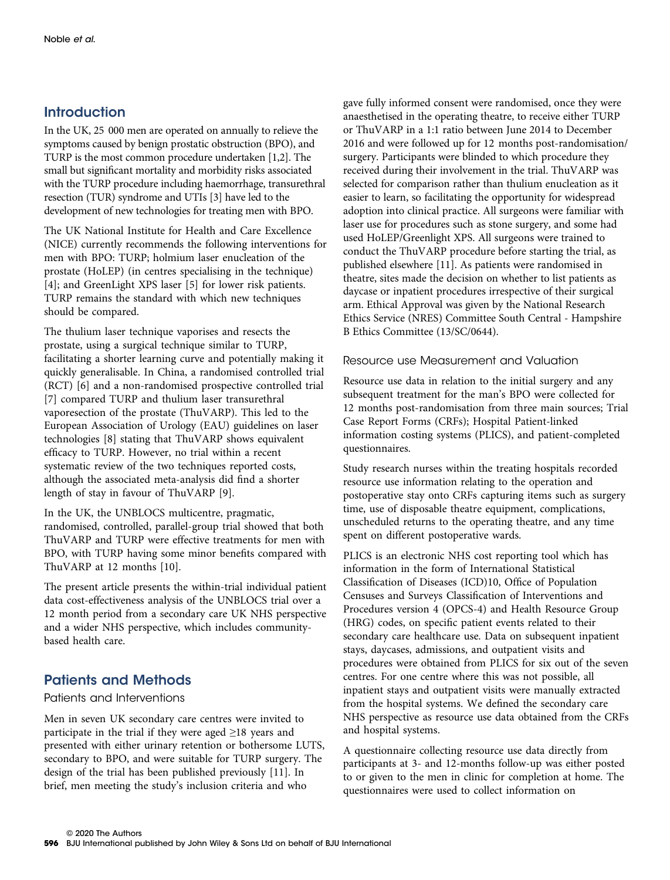### **Introduction**

In the UK, 25 000 men are operated on annually to relieve the symptoms caused by benign prostatic obstruction (BPO), and TURP is the most common procedure undertaken [1,2]. The small but significant mortality and morbidity risks associated with the TURP procedure including haemorrhage, transurethral resection (TUR) syndrome and UTIs [3] have led to the development of new technologies for treating men with BPO.

The UK National Institute for Health and Care Excellence (NICE) currently recommends the following interventions for men with BPO: TURP; holmium laser enucleation of the prostate (HoLEP) (in centres specialising in the technique) [4]; and GreenLight XPS laser [5] for lower risk patients. TURP remains the standard with which new techniques should be compared.

The thulium laser technique vaporises and resects the prostate, using a surgical technique similar to TURP, facilitating a shorter learning curve and potentially making it quickly generalisable. In China, a randomised controlled trial (RCT) [6] and a non-randomised prospective controlled trial [7] compared TURP and thulium laser transurethral vaporesection of the prostate (ThuVARP). This led to the European Association of Urology (EAU) guidelines on laser technologies [8] stating that ThuVARP shows equivalent efficacy to TURP. However, no trial within a recent systematic review of the two techniques reported costs, although the associated meta-analysis did find a shorter length of stay in favour of ThuVARP [9].

In the UK, the UNBLOCS multicentre, pragmatic, randomised, controlled, parallel-group trial showed that both ThuVARP and TURP were effective treatments for men with BPO, with TURP having some minor benefits compared with ThuVARP at 12 months [10].

The present article presents the within-trial individual patient data cost-effectiveness analysis of the UNBLOCS trial over a 12 month period from a secondary care UK NHS perspective and a wider NHS perspective, which includes communitybased health care.

## Patients and Methods

### Patients and Interventions

Men in seven UK secondary care centres were invited to participate in the trial if they were aged  $\geq$ 18 years and presented with either urinary retention or bothersome LUTS, secondary to BPO, and were suitable for TURP surgery. The design of the trial has been published previously [11]. In brief, men meeting the study's inclusion criteria and who

gave fully informed consent were randomised, once they were anaesthetised in the operating theatre, to receive either TURP or ThuVARP in a 1:1 ratio between June 2014 to December 2016 and were followed up for 12 months post-randomisation/ surgery. Participants were blinded to which procedure they received during their involvement in the trial. ThuVARP was selected for comparison rather than thulium enucleation as it easier to learn, so facilitating the opportunity for widespread adoption into clinical practice. All surgeons were familiar with laser use for procedures such as stone surgery, and some had used HoLEP/Greenlight XPS. All surgeons were trained to conduct the ThuVARP procedure before starting the trial, as published elsewhere [11]. As patients were randomised in theatre, sites made the decision on whether to list patients as daycase or inpatient procedures irrespective of their surgical arm. Ethical Approval was given by the National Research Ethics Service (NRES) Committee South Central - Hampshire B Ethics Committee (13/SC/0644).

### Resource use Measurement and Valuation

Resource use data in relation to the initial surgery and any subsequent treatment for the man's BPO were collected for 12 months post-randomisation from three main sources; Trial Case Report Forms (CRFs); Hospital Patient-linked information costing systems (PLICS), and patient-completed questionnaires.

Study research nurses within the treating hospitals recorded resource use information relating to the operation and postoperative stay onto CRFs capturing items such as surgery time, use of disposable theatre equipment, complications, unscheduled returns to the operating theatre, and any time spent on different postoperative wards.

PLICS is an electronic NHS cost reporting tool which has information in the form of International Statistical Classification of Diseases (ICD)10, Office of Population Censuses and Surveys Classification of Interventions and Procedures version 4 (OPCS-4) and Health Resource Group (HRG) codes, on specific patient events related to their secondary care healthcare use. Data on subsequent inpatient stays, daycases, admissions, and outpatient visits and procedures were obtained from PLICS for six out of the seven centres. For one centre where this was not possible, all inpatient stays and outpatient visits were manually extracted from the hospital systems. We defined the secondary care NHS perspective as resource use data obtained from the CRFs and hospital systems.

A questionnaire collecting resource use data directly from participants at 3- and 12-months follow-up was either posted to or given to the men in clinic for completion at home. The questionnaires were used to collect information on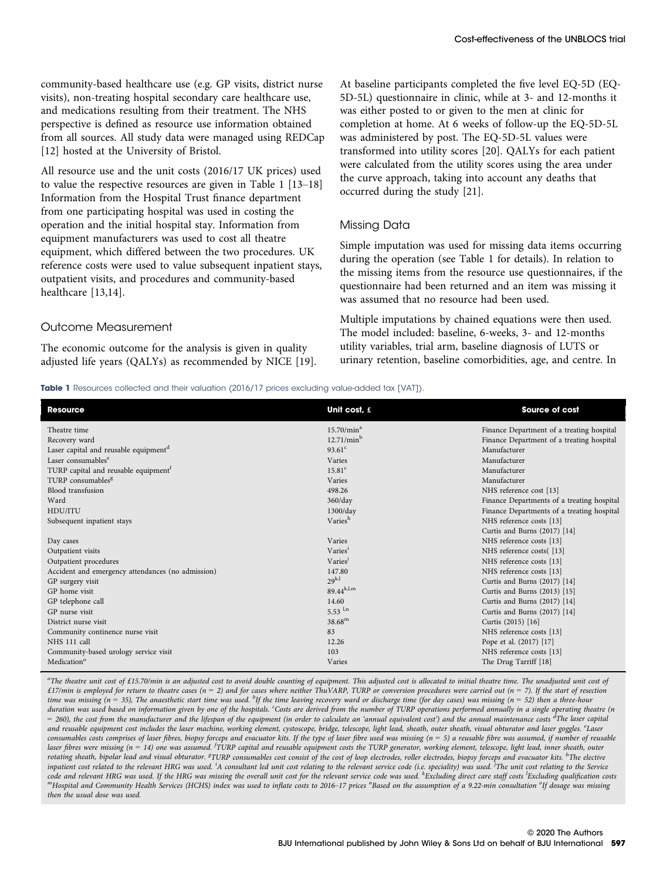community-based healthcare use (e.g. GP visits, district nurse visits), non-treating hospital secondary care healthcare use, and medications resulting from their treatment. The NHS perspective is defined as resource use information obtained from all sources. All study data were managed using REDCap [12] hosted at the University of Bristol.

All resource use and the unit costs (2016/17 UK prices) used to value the respective resources are given in Table 1 [13–18] Information from the Hospital Trust finance department from one participating hospital was used in costing the operation and the initial hospital stay. Information from equipment manufacturers was used to cost all theatre equipment, which differed between the two procedures. UK reference costs were used to value subsequent inpatient stays, outpatient visits, and procedures and community-based healthcare [13,14].

#### Outcome Measurement

The economic outcome for the analysis is given in quality adjusted life years (QALYs) as recommended by NICE [19]. At baseline participants completed the five level EQ-5D (EQ-5D-5L) questionnaire in clinic, while at 3- and 12-months it was either posted to or given to the men at clinic for completion at home. At 6 weeks of follow-up the EQ-5D-5L was administered by post. The EQ-5D-5L values were transformed into utility scores [20]. QALYs for each patient were calculated from the utility scores using the area under the curve approach, taking into account any deaths that occurred during the study [21].

#### Missing Data

Simple imputation was used for missing data items occurring during the operation (see Table 1 for details). In relation to the missing items from the resource use questionnaires, if the questionnaire had been returned and an item was missing it was assumed that no resource had been used.

Multiple imputations by chained equations were then used. The model included: baseline, 6-weeks, 3- and 12-months utility variables, trial arm, baseline diagnosis of LUTS or urinary retention, baseline comorbidities, age, and centre. In

#### Table 1 Resources collected and their valuation (2016/17 prices excluding value-added tax [VAT]).

| <b>Resource</b>                                   | Unit cost, £           | Source of cost                             |
|---------------------------------------------------|------------------------|--------------------------------------------|
| Theatre time                                      | 15.70/min <sup>a</sup> | Finance Department of a treating hospital  |
| Recovery ward                                     | 12.71/min <sup>b</sup> | Finance Department of a treating hospital  |
| Laser capital and reusable equipment <sup>d</sup> | $93.61^{\circ}$        | Manufacturer                               |
| Laser consumables <sup>e</sup>                    | Varies                 | Manufacturer                               |
| TURP capital and reusable equipment <sup>1</sup>  | 15.81 <sup>c</sup>     | Manufacturer                               |
| TURP consumables <sup>g</sup>                     | Varies                 | Manufacturer                               |
| Blood transfusion                                 | 498.26                 | NHS reference cost [13]                    |
| Ward                                              | 360/day                | Finance Departments of a treating hospital |
| HDU/ITU                                           | 1300/day               | Finance Departments of a treating hospital |
| Subsequent inpatient stays                        | Variesh                | NHS reference costs [13]                   |
|                                                   |                        | Curtis and Burns (2017) [14]               |
| Day cases                                         | Varies                 | NHS reference costs [13]                   |
| Outpatient visits                                 | Varies <sup>i</sup>    | NHS reference costs([13]                   |
| Outpatient procedures                             | Varies                 | NHS reference costs [13]                   |
| Accident and emergency attendances (no admission) | 147.80                 | NHS reference costs [13]                   |
| GP surgery visit                                  | $29^{k,l}$             | Curtis and Burns (2017) [14]               |
| GP home visit                                     | $89.44^{k,l,m}$        | Curtis and Burns (2013) [15]               |
| GP telephone call                                 | 14.60                  | Curtis and Burns (2017) [14]               |
| GP nurse visit                                    | 5.53 $^{1,n}$          | Curtis and Burns (2017) [14]               |
| District nurse visit                              | $38.68^{\rm m}$        | Curtis (2015) [16]                         |
| Community continence nurse visit                  | 83                     | NHS reference costs [13]                   |
| NHS 111 call                                      | 12.26                  | Pope et al. (2017) [17]                    |
| Community-based urology service visit             | 103                    | NHS reference costs [13]                   |
| Medication <sup>o</sup>                           | Varies                 | The Drug Tarriff [18]                      |

a<br>The theatre unit cost of £15.70/min is an adjusted cost to avoid double counting of equipment. This adjusted cost is allocated to initial theatre time. The unadjusted unit cost of £17/min is employed for return to theatre cases (n = 2) and for cases where neither ThuVARP, TURP or conversion procedures were carried out (n = 7). If the start of resection time was missing (n = 35), The anaesthetic start time was used. <sup>b</sup>If the time leaving recovery ward or discharge time (for day cases) was missing (n = 52) then a three-hour duration was used based on information given by one of the hospitals. Costs are derived from the number of TURP operations performed annually in a single operating theatre (n  $=$  260), the cost from the manufacturer and the lifespan of the equipment (in order to calculate an 'annual equivalent cost') and the annual maintenance costs  ${}^d\!{\rm The}$  laser capital and reusable equipment cost includes the laser machine, working element, cystoscope, bridge, telescope, light lead, sheath, outer sheath, visual obturator and laser goggles. <sup>e</sup>Laser consumables costs comprises of laser fibres, biopsy forceps and evacuator kits. If the type of laser fibre used was missing (n = 5) a reusable fibre was assumed, if number of reusable laser fibres were missing (n = 14) one was assumed. <sup>I</sup>TURP capital and reusable equipment costs the TURP generator, working element, telescope, light lead, inner sheath, outer rotating sheath, bipolar lead and visual obturator. <sup>g</sup>TURP consumables cost consist of the cost of loop electrodes, roller electrodes, biopsy forceps and evacuator kits. <sup>h</sup>The elective inpatient cost related to the relevant HRG was used. <sup>I</sup>A consultant led unit cost relating to the relevant service code (i.e. speciality) was used. <sup>I</sup>The unit cost relating to the Service code and relevant HRG was used. If the HRG was missing the overall unit cost for the relevant service code was used.  $^k$ Excluding direct care staff costs  $^k$ code and relevant HRG was used. If the HRG was missing the overall unit cost for the relevant service code was used. "Excluding direct care staff costs 'Excluding qualification costs<br>"'Hospital and Community Health Service then the usual dose was used.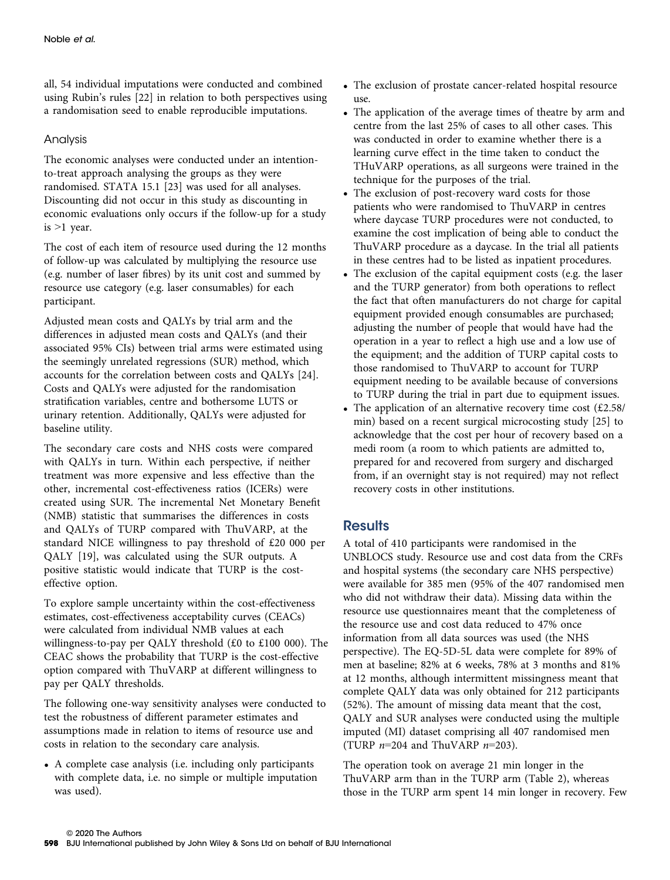all, 54 individual imputations were conducted and combined using Rubin's rules [22] in relation to both perspectives using a randomisation seed to enable reproducible imputations.

### Analysis

The economic analyses were conducted under an intentionto-treat approach analysing the groups as they were randomised. STATA 15.1 [23] was used for all analyses. Discounting did not occur in this study as discounting in economic evaluations only occurs if the follow-up for a study is  $>1$  year.

The cost of each item of resource used during the 12 months of follow-up was calculated by multiplying the resource use (e.g. number of laser fibres) by its unit cost and summed by resource use category (e.g. laser consumables) for each participant.

Adjusted mean costs and QALYs by trial arm and the differences in adjusted mean costs and QALYs (and their associated 95% CIs) between trial arms were estimated using the seemingly unrelated regressions (SUR) method, which accounts for the correlation between costs and QALYs [24]. Costs and QALYs were adjusted for the randomisation stratification variables, centre and bothersome LUTS or urinary retention. Additionally, QALYs were adjusted for baseline utility.

The secondary care costs and NHS costs were compared with QALYs in turn. Within each perspective, if neither treatment was more expensive and less effective than the other, incremental cost-effectiveness ratios (ICERs) were created using SUR. The incremental Net Monetary Benefit (NMB) statistic that summarises the differences in costs and QALYs of TURP compared with ThuVARP, at the standard NICE willingness to pay threshold of £20 000 per QALY [19], was calculated using the SUR outputs. A positive statistic would indicate that TURP is the costeffective option.

To explore sample uncertainty within the cost-effectiveness estimates, cost-effectiveness acceptability curves (CEACs) were calculated from individual NMB values at each willingness-to-pay per QALY threshold (£0 to £100 000). The CEAC shows the probability that TURP is the cost-effective option compared with ThuVARP at different willingness to pay per QALY thresholds.

The following one-way sensitivity analyses were conducted to test the robustness of different parameter estimates and assumptions made in relation to items of resource use and costs in relation to the secondary care analysis.

• A complete case analysis (i.e. including only participants with complete data, i.e. no simple or multiple imputation was used).

- The exclusion of prostate cancer-related hospital resource use.
- The application of the average times of theatre by arm and centre from the last 25% of cases to all other cases. This was conducted in order to examine whether there is a learning curve effect in the time taken to conduct the THuVARP operations, as all surgeons were trained in the technique for the purposes of the trial.
- The exclusion of post-recovery ward costs for those patients who were randomised to ThuVARP in centres where daycase TURP procedures were not conducted, to examine the cost implication of being able to conduct the ThuVARP procedure as a daycase. In the trial all patients in these centres had to be listed as inpatient procedures.
- The exclusion of the capital equipment costs (e.g. the laser and the TURP generator) from both operations to reflect the fact that often manufacturers do not charge for capital equipment provided enough consumables are purchased; adjusting the number of people that would have had the operation in a year to reflect a high use and a low use of the equipment; and the addition of TURP capital costs to those randomised to ThuVARP to account for TURP equipment needing to be available because of conversions to TURP during the trial in part due to equipment issues.
- The application of an alternative recovery time cost (£2.58/ min) based on a recent surgical microcosting study [25] to acknowledge that the cost per hour of recovery based on a medi room (a room to which patients are admitted to, prepared for and recovered from surgery and discharged from, if an overnight stay is not required) may not reflect recovery costs in other institutions.

### **Results**

A total of 410 participants were randomised in the UNBLOCS study. Resource use and cost data from the CRFs and hospital systems (the secondary care NHS perspective) were available for 385 men (95% of the 407 randomised men who did not withdraw their data). Missing data within the resource use questionnaires meant that the completeness of the resource use and cost data reduced to 47% once information from all data sources was used (the NHS perspective). The EQ-5D-5L data were complete for 89% of men at baseline; 82% at 6 weeks, 78% at 3 months and 81% at 12 months, although intermittent missingness meant that complete QALY data was only obtained for 212 participants (52%). The amount of missing data meant that the cost, QALY and SUR analyses were conducted using the multiple imputed (MI) dataset comprising all 407 randomised men (TURP  $n=204$  and ThuVARP  $n=203$ ).

The operation took on average 21 min longer in the ThuVARP arm than in the TURP arm (Table 2), whereas those in the TURP arm spent 14 min longer in recovery. Few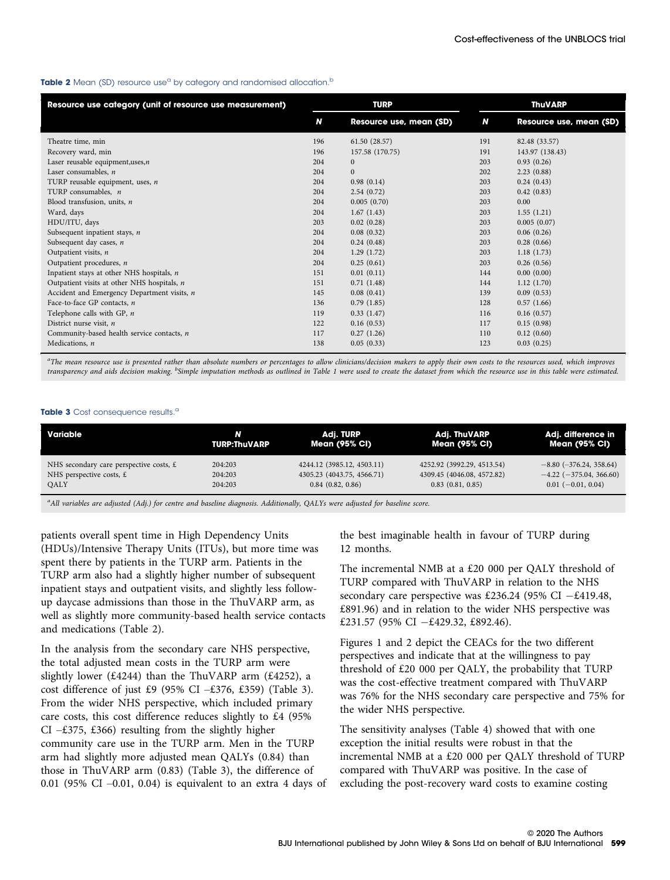#### Table 2 Mean (SD) resource use<sup>a</sup> by category and randomised allocation.<sup>b</sup>

| Resource use category (unit of resource use measurement) |     | <b>TURP</b>             | <b>ThuVARP</b> |                         |  |
|----------------------------------------------------------|-----|-------------------------|----------------|-------------------------|--|
|                                                          | N   | Resource use, mean (SD) | N              | Resource use, mean (SD) |  |
| Theatre time, min                                        | 196 | 61.50 (28.57)           | 191            | 82.48 (33.57)           |  |
| Recovery ward, min                                       | 196 | 157.58 (170.75)         | 191            | 143.97 (138.43)         |  |
| Laser reusable equipment, uses, $n$                      | 204 | $\mathbf{0}$            | 203            | 0.93(0.26)              |  |
| Laser consumables, $n$                                   | 204 | $\mathbf{0}$            | 202            | 2.23(0.88)              |  |
| TURP reusable equipment, uses, $n$                       | 204 | 0.98(0.14)              | 203            | 0.24(0.43)              |  |
| TURP consumables, n                                      | 204 | 2.54(0.72)              | 203            | 0.42(0.83)              |  |
| Blood transfusion, units, $n$                            | 204 | 0.005(0.70)             | 203            | 0.00                    |  |
| Ward, days                                               | 204 | 1.67(1.43)              | 203            | 1.55(1.21)              |  |
| HDU/ITU, days                                            | 203 | 0.02(0.28)              | 203            | 0.005(0.07)             |  |
| Subsequent inpatient stays, $n$                          | 204 | 0.08(0.32)              | 203            | 0.06(0.26)              |  |
| Subsequent day cases, n                                  | 204 | 0.24(0.48)              | 203            | 0.28(0.66)              |  |
| Outpatient visits, n                                     | 204 | 1.29(1.72)              | 203            | 1.18(1.73)              |  |
| Outpatient procedures, n                                 | 204 | 0.25(0.61)              | 203            | 0.26(0.56)              |  |
| Inpatient stays at other NHS hospitals, n                | 151 | 0.01(0.11)              | 144            | 0.00(0.00)              |  |
| Outpatient visits at other NHS hospitals, $n$            | 151 | 0.71(1.48)              | 144            | 1.12(1.70)              |  |
| Accident and Emergency Department visits, n              | 145 | 0.08(0.41)              | 139            | 0.09(0.53)              |  |
| Face-to-face GP contacts, n                              | 136 | 0.79(1.85)              | 128            | 0.57(1.66)              |  |
| Telephone calls with GP, $n$                             | 119 | 0.33(1.47)              | 116            | 0.16(0.57)              |  |
| District nurse visit, $n$                                | 122 | 0.16(0.53)              | 117            | 0.15(0.98)              |  |
| Community-based health service contacts, n               | 117 | 0.27(1.26)              | 110            | 0.12(0.60)              |  |
| Medications, n                                           | 138 | 0.05(0.33)              | 123            | 0.03(0.25)              |  |

.<br>"The mean resource use is presented rather than absolute numbers or percentages to allow clinicians/decision makers to apply their own costs to the resources used, which improves transparency and aids decision making. <sup>b</sup>Simple imputation methods as outlined in Table 1 were used to create the dataset from which the resource use in this table were estimated.

#### Table 3 Cost consequence results.<sup>a</sup>

| Variable                                  | N            | Adj. TURP                  | <b>Adj. ThuVARP</b>        | Adj. difference in            |
|-------------------------------------------|--------------|----------------------------|----------------------------|-------------------------------|
|                                           | TURP:ThuVARP | Mean (95% CI)              | Mean (95% CI)              | Mean (95% Cl)                 |
| NHS secondary care perspective costs, $E$ | 204:203      | 4244.12 (3985.12, 4503.11) | 4252.92 (3992.29, 4513.54) | $-8.80$ ( $-376.24$ , 358.64) |
| NHS perspective costs, $E$                | 204:203      | 4305.23 (4043.75, 4566.71) | 4309.45 (4046.08, 4572.82) | $-4.22$ ( $-375.04$ , 366.60) |
| OALY                                      | 204:203      | 0.84(0.82, 0.86)           | $0.83$ $(0.81, 0.85)$      | $0.01$ (-0.01, 0.04)          |

a All variables are adjusted (Adj.) for centre and baseline diagnosis. Additionally, QALYs were adjusted for baseline score.

patients overall spent time in High Dependency Units (HDUs)/Intensive Therapy Units (ITUs), but more time was spent there by patients in the TURP arm. Patients in the TURP arm also had a slightly higher number of subsequent inpatient stays and outpatient visits, and slightly less followup daycase admissions than those in the ThuVARP arm, as well as slightly more community-based health service contacts and medications (Table 2).

In the analysis from the secondary care NHS perspective, the total adjusted mean costs in the TURP arm were slightly lower (£4244) than the ThuVARP arm (£4252), a cost difference of just £9 (95% CI  $-£376, £359$ ) (Table 3). From the wider NHS perspective, which included primary care costs, this cost difference reduces slightly to £4 (95% CI – $\text{\textsterling}375, \text{\textsterling}366$ ) resulting from the slightly higher community care use in the TURP arm. Men in the TURP arm had slightly more adjusted mean QALYs (0.84) than those in ThuVARP arm (0.83) (Table 3), the difference of 0.01 (95% CI –0.01, 0.04) is equivalent to an extra 4 days of the best imaginable health in favour of TURP during 12 months.

The incremental NMB at a £20 000 per QALY threshold of TURP compared with ThuVARP in relation to the NHS secondary care perspective was £236.24 (95% CI  $-$ £419.48, £891.96) and in relation to the wider NHS perspective was £231.57 (95% CI  $-$ £429.32, £892.46).

Figures 1 and 2 depict the CEACs for the two different perspectives and indicate that at the willingness to pay threshold of £20 000 per QALY, the probability that TURP was the cost-effective treatment compared with ThuVARP was 76% for the NHS secondary care perspective and 75% for the wider NHS perspective.

The sensitivity analyses (Table 4) showed that with one exception the initial results were robust in that the incremental NMB at a £20 000 per QALY threshold of TURP compared with ThuVARP was positive. In the case of excluding the post-recovery ward costs to examine costing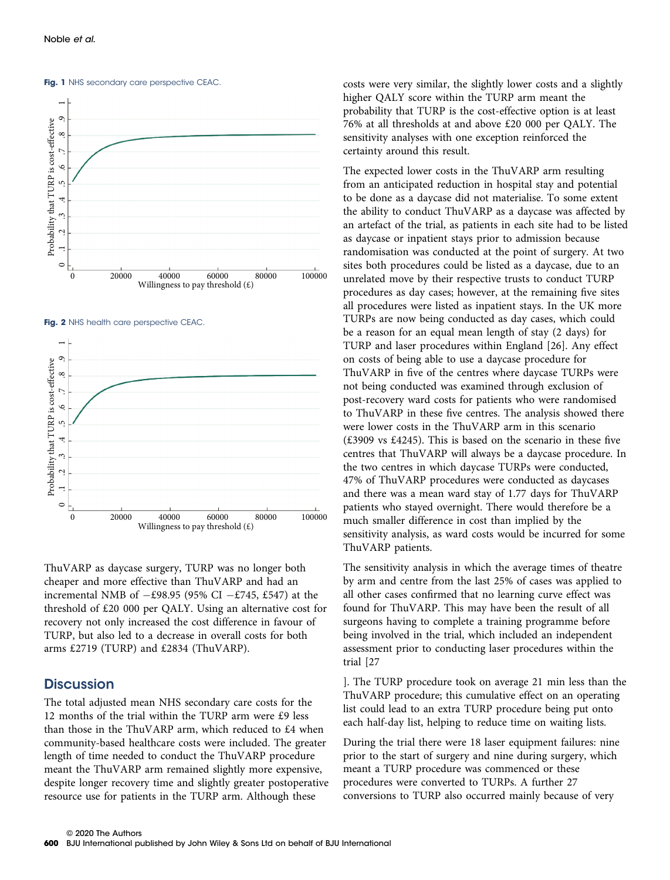



Fig. 1 NHS secondary care perspective CEAC.

Fig. 2 NHS health care perspective CEAC



ThuVARP as daycase surgery, TURP was no longer both cheaper and more effective than ThuVARP and had an incremental NMB of  $-£98.95$  (95% CI  $-£745$ , £547) at the threshold of £20 000 per QALY. Using an alternative cost for recovery not only increased the cost difference in favour of TURP, but also led to a decrease in overall costs for both arms £2719 (TURP) and £2834 (ThuVARP).

### **Discussion**

The total adjusted mean NHS secondary care costs for the 12 months of the trial within the TURP arm were £9 less than those in the ThuVARP arm, which reduced to £4 when community-based healthcare costs were included. The greater length of time needed to conduct the ThuVARP procedure meant the ThuVARP arm remained slightly more expensive, despite longer recovery time and slightly greater postoperative resource use for patients in the TURP arm. Although these

costs were very similar, the slightly lower costs and a slightly higher QALY score within the TURP arm meant the probability that TURP is the cost-effective option is at least 76% at all thresholds at and above £20 000 per QALY. The sensitivity analyses with one exception reinforced the certainty around this result.

The expected lower costs in the ThuVARP arm resulting from an anticipated reduction in hospital stay and potential to be done as a daycase did not materialise. To some extent the ability to conduct ThuVARP as a daycase was affected by an artefact of the trial, as patients in each site had to be listed as daycase or inpatient stays prior to admission because randomisation was conducted at the point of surgery. At two sites both procedures could be listed as a daycase, due to an unrelated move by their respective trusts to conduct TURP procedures as day cases; however, at the remaining five sites all procedures were listed as inpatient stays. In the UK more TURPs are now being conducted as day cases, which could be a reason for an equal mean length of stay (2 days) for TURP and laser procedures within England [26]. Any effect on costs of being able to use a daycase procedure for ThuVARP in five of the centres where daycase TURPs were not being conducted was examined through exclusion of post-recovery ward costs for patients who were randomised to ThuVARP in these five centres. The analysis showed there were lower costs in the ThuVARP arm in this scenario (£3909 vs £4245). This is based on the scenario in these five centres that ThuVARP will always be a daycase procedure. In the two centres in which daycase TURPs were conducted, 47% of ThuVARP procedures were conducted as daycases and there was a mean ward stay of 1.77 days for ThuVARP patients who stayed overnight. There would therefore be a much smaller difference in cost than implied by the sensitivity analysis, as ward costs would be incurred for some ThuVARP patients.

The sensitivity analysis in which the average times of theatre by arm and centre from the last 25% of cases was applied to all other cases confirmed that no learning curve effect was found for ThuVARP. This may have been the result of all surgeons having to complete a training programme before being involved in the trial, which included an independent assessment prior to conducting laser procedures within the trial [27

]. The TURP procedure took on average 21 min less than the ThuVARP procedure; this cumulative effect on an operating list could lead to an extra TURP procedure being put onto each half-day list, helping to reduce time on waiting lists.

During the trial there were 18 laser equipment failures: nine prior to the start of surgery and nine during surgery, which meant a TURP procedure was commenced or these procedures were converted to TURPs. A further 27 conversions to TURP also occurred mainly because of very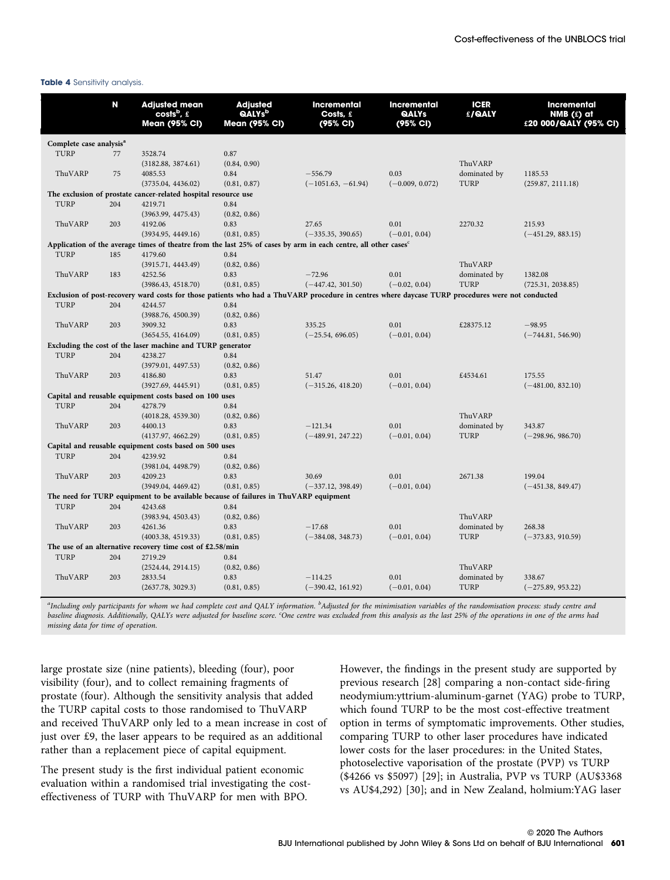#### Table 4 Sensitivity analysis.

|                                                           | N                                                                                    | <b>Adjusted mean</b><br>costs <sup>b</sup> , $\pounds$<br><b>Mean (95% CI)</b> | <b>Adjusted</b><br><b>QALYs</b> <sup>b</sup><br><b>Mean (95% CI)</b> | <b>Incremental</b><br>Costs, £<br>(95% CI)                                                                                                       | <b>Incremental</b><br>QALYs<br>(95% CI) | <b>ICER</b><br>£/QALY | <b>Incremental</b><br>NMB $(f)$ at<br>£20 000/QALY (95% CI) |  |
|-----------------------------------------------------------|--------------------------------------------------------------------------------------|--------------------------------------------------------------------------------|----------------------------------------------------------------------|--------------------------------------------------------------------------------------------------------------------------------------------------|-----------------------------------------|-----------------------|-------------------------------------------------------------|--|
|                                                           | Complete case analysis <sup>a</sup>                                                  |                                                                                |                                                                      |                                                                                                                                                  |                                         |                       |                                                             |  |
| TURP                                                      | 77                                                                                   | 3528.74                                                                        | 0.87                                                                 |                                                                                                                                                  |                                         |                       |                                                             |  |
|                                                           |                                                                                      | (3182.88, 3874.61)                                                             | (0.84, 0.90)                                                         |                                                                                                                                                  |                                         | ThuVARP               |                                                             |  |
| ThuVARP                                                   | 75                                                                                   | 4085.53                                                                        | 0.84                                                                 | $-556.79$                                                                                                                                        | 0.03                                    | dominated by          | 1185.53                                                     |  |
|                                                           |                                                                                      | (3735.04, 4436.02)                                                             | (0.81, 0.87)                                                         | $(-1051.63, -61.94)$                                                                                                                             | $(-0.009, 0.072)$                       | TURP                  | (259.87, 2111.18)                                           |  |
|                                                           |                                                                                      | The exclusion of prostate cancer-related hospital resource use                 |                                                                      |                                                                                                                                                  |                                         |                       |                                                             |  |
| TURP                                                      | 204                                                                                  | 4219.71                                                                        | 0.84                                                                 |                                                                                                                                                  |                                         |                       |                                                             |  |
|                                                           |                                                                                      | (3963.99, 4475.43)                                                             | (0.82, 0.86)                                                         |                                                                                                                                                  |                                         |                       |                                                             |  |
| ThuVARP                                                   | 203                                                                                  | 4192.06                                                                        | 0.83                                                                 | 27.65                                                                                                                                            | 0.01                                    | 2270.32               | 215.93                                                      |  |
|                                                           |                                                                                      | (3934.95, 4449.16)                                                             | (0.81, 0.85)                                                         | $(-335.35, 390.65)$                                                                                                                              | $(-0.01, 0.04)$                         |                       | $(-451.29, 883.15)$                                         |  |
|                                                           |                                                                                      |                                                                                |                                                                      | Application of the average times of theatre from the last 25% of cases by arm in each centre, all other cases <sup>c</sup>                       |                                         |                       |                                                             |  |
| TURP                                                      | 185                                                                                  | 4179.60                                                                        | 0.84                                                                 |                                                                                                                                                  |                                         |                       |                                                             |  |
|                                                           |                                                                                      | (3915.71, 4443.49)                                                             | (0.82, 0.86)                                                         |                                                                                                                                                  |                                         | ThuVARP               |                                                             |  |
| ThuVARP                                                   | 183                                                                                  | 4252.56                                                                        | 0.83                                                                 | $-72.96$                                                                                                                                         | 0.01                                    | dominated by          | 1382.08                                                     |  |
|                                                           |                                                                                      | (3986.43, 4518.70)                                                             | (0.81, 0.85)                                                         | $(-447.42, 301.50)$                                                                                                                              | $(-0.02, 0.04)$                         | <b>TURP</b>           | (725.31, 2038.85)                                           |  |
|                                                           |                                                                                      |                                                                                |                                                                      | Exclusion of post-recovery ward costs for those patients who had a ThuVARP procedure in centres where daycase TURP procedures were not conducted |                                         |                       |                                                             |  |
| TURP                                                      | 204                                                                                  | 4244.57                                                                        | 0.84                                                                 |                                                                                                                                                  |                                         |                       |                                                             |  |
|                                                           |                                                                                      | (3988.76, 4500.39)                                                             | (0.82, 0.86)                                                         |                                                                                                                                                  |                                         |                       |                                                             |  |
| ThuVARP                                                   | 203                                                                                  | 3909.32                                                                        | 0.83                                                                 | 335.25                                                                                                                                           | 0.01                                    | £28375.12             | $-98.95$                                                    |  |
|                                                           |                                                                                      | (3654.55, 4164.09)                                                             | (0.81, 0.85)                                                         | $(-25.54, 696.05)$                                                                                                                               | $(-0.01, 0.04)$                         |                       | $(-744.81, 546.90)$                                         |  |
|                                                           |                                                                                      | Excluding the cost of the laser machine and TURP generator                     |                                                                      |                                                                                                                                                  |                                         |                       |                                                             |  |
| TURP                                                      | 204                                                                                  | 4238.27                                                                        | 0.84                                                                 |                                                                                                                                                  |                                         |                       |                                                             |  |
|                                                           |                                                                                      | (3979.01, 4497.53)                                                             | (0.82, 0.86)                                                         |                                                                                                                                                  |                                         |                       |                                                             |  |
| ThuVARP                                                   | 203                                                                                  | 4186.80                                                                        | 0.83                                                                 | 51.47                                                                                                                                            | 0.01                                    | £4534.61              | 175.55                                                      |  |
|                                                           |                                                                                      | (3927.69, 4445.91)                                                             | (0.81, 0.85)                                                         | $(-315.26, 418.20)$                                                                                                                              | $(-0.01, 0.04)$                         |                       | $(-481.00, 832.10)$                                         |  |
|                                                           |                                                                                      | Capital and reusable equipment costs based on 100 uses                         |                                                                      |                                                                                                                                                  |                                         |                       |                                                             |  |
| TURP                                                      | 204                                                                                  | 4278.79                                                                        | 0.84                                                                 |                                                                                                                                                  |                                         |                       |                                                             |  |
|                                                           |                                                                                      | (4018.28, 4539.30)                                                             | (0.82, 0.86)                                                         |                                                                                                                                                  |                                         | ThuVARP               |                                                             |  |
| ThuVARP                                                   | 203                                                                                  | 4400.13                                                                        | 0.83                                                                 | $-121.34$                                                                                                                                        | 0.01                                    | dominated by          | 343.87                                                      |  |
|                                                           |                                                                                      | (4137.97, 4662.29)                                                             | (0.81, 0.85)                                                         | $(-489.91, 247.22)$                                                                                                                              | $(-0.01, 0.04)$                         | TURP                  | $(-298.96, 986.70)$                                         |  |
|                                                           |                                                                                      | Capital and reusable equipment costs based on 500 uses                         |                                                                      |                                                                                                                                                  |                                         |                       |                                                             |  |
| TURP                                                      | 204                                                                                  | 4239.92                                                                        | 0.84                                                                 |                                                                                                                                                  |                                         |                       |                                                             |  |
|                                                           |                                                                                      | (3981.04, 4498.79)                                                             | (0.82, 0.86)                                                         |                                                                                                                                                  |                                         |                       |                                                             |  |
| ThuVARP                                                   | 203                                                                                  | 4209.23                                                                        | 0.83                                                                 | 30.69                                                                                                                                            | 0.01                                    | 2671.38               | 199.04                                                      |  |
|                                                           |                                                                                      | (3949.04, 4469.42)                                                             | (0.81, 0.85)                                                         | $(-337.12, 398.49)$                                                                                                                              | $(-0.01, 0.04)$                         |                       | $(-451.38, 849.47)$                                         |  |
|                                                           | The need for TURP equipment to be available because of failures in ThuVARP equipment |                                                                                |                                                                      |                                                                                                                                                  |                                         |                       |                                                             |  |
| TURP                                                      | 204                                                                                  | 4243.68                                                                        | 0.84                                                                 |                                                                                                                                                  |                                         |                       |                                                             |  |
|                                                           |                                                                                      | (3983.94, 4503.43)                                                             | (0.82, 0.86)                                                         |                                                                                                                                                  |                                         | ThuVARP               |                                                             |  |
| ThuVARP                                                   | 203                                                                                  | 4261.36                                                                        | 0.83                                                                 | $-17.68$                                                                                                                                         | 0.01                                    | dominated by          | 268.38                                                      |  |
|                                                           |                                                                                      | (4003.38, 4519.33)                                                             | (0.81, 0.85)                                                         | $(-384.08, 348.73)$                                                                                                                              | $(-0.01, 0.04)$                         | TURP                  | $(-373.83, 910.59)$                                         |  |
| The use of an alternative recovery time cost of £2.58/min |                                                                                      |                                                                                |                                                                      |                                                                                                                                                  |                                         |                       |                                                             |  |
| <b>TURP</b>                                               | 204                                                                                  | 2719.29                                                                        | 0.84                                                                 |                                                                                                                                                  |                                         |                       |                                                             |  |
|                                                           |                                                                                      | (2524.44, 2914.15)                                                             | (0.82, 0.86)                                                         |                                                                                                                                                  |                                         | ThuVARP               |                                                             |  |
| ThuVARP                                                   | 203                                                                                  | 2833.54                                                                        | 0.83                                                                 | $-114.25$                                                                                                                                        | 0.01                                    | dominated by          | 338.67                                                      |  |
|                                                           |                                                                                      | (2637.78, 3029.3)                                                              | (0.81, 0.85)                                                         | $(-390.42, 161.92)$                                                                                                                              | $(-0.01, 0.04)$                         | TURP                  | $(-275.89, 953.22)$                                         |  |

<sup>a</sup>Including only participants for whom we had complete cost and QALY information. <sup>b</sup>Adjusted for the minimisation variables of the randomisation process: study centre and baseline diagnosis. Additionally, QALYs were adjusted for baseline score. <sup>c</sup>One centre was excluded from this analysis as the last 25% of the operations in one of the arms had missing data for time of operation.

large prostate size (nine patients), bleeding (four), poor visibility (four), and to collect remaining fragments of prostate (four). Although the sensitivity analysis that added the TURP capital costs to those randomised to ThuVARP and received ThuVARP only led to a mean increase in cost of just over £9, the laser appears to be required as an additional rather than a replacement piece of capital equipment.

The present study is the first individual patient economic evaluation within a randomised trial investigating the costeffectiveness of TURP with ThuVARP for men with BPO.

However, the findings in the present study are supported by previous research [28] comparing a non-contact side-firing neodymium:yttrium-aluminum-garnet (YAG) probe to TURP, which found TURP to be the most cost-effective treatment option in terms of symptomatic improvements. Other studies, comparing TURP to other laser procedures have indicated lower costs for the laser procedures: in the United States, photoselective vaporisation of the prostate (PVP) vs TURP (\$4266 vs \$5097) [29]; in Australia, PVP vs TURP (AU\$3368 vs AU\$4,292) [30]; and in New Zealand, holmium:YAG laser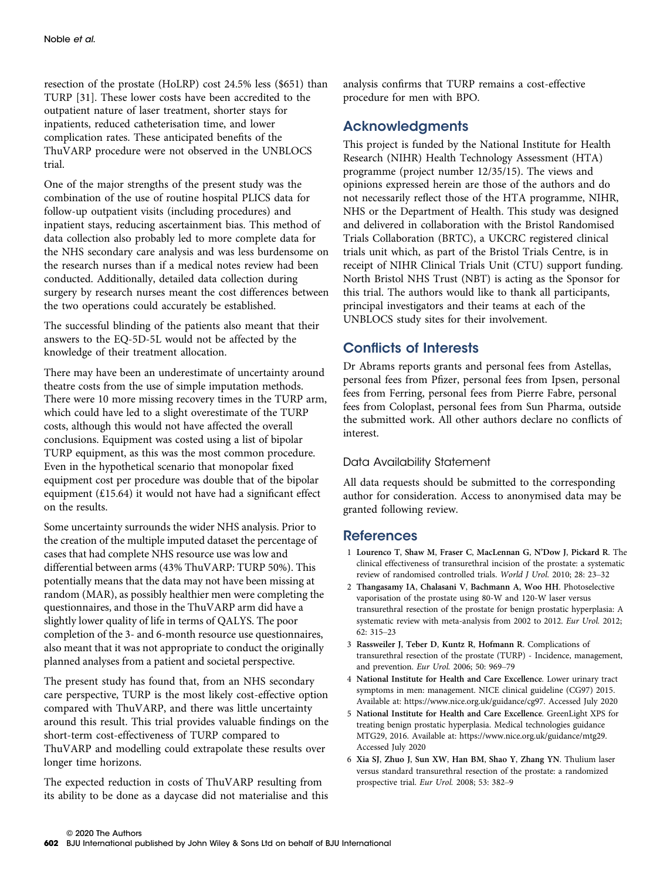resection of the prostate (HoLRP) cost 24.5% less (\$651) than TURP [31]. These lower costs have been accredited to the outpatient nature of laser treatment, shorter stays for inpatients, reduced catheterisation time, and lower complication rates. These anticipated benefits of the ThuVARP procedure were not observed in the UNBLOCS trial.

One of the major strengths of the present study was the combination of the use of routine hospital PLICS data for follow-up outpatient visits (including procedures) and inpatient stays, reducing ascertainment bias. This method of data collection also probably led to more complete data for the NHS secondary care analysis and was less burdensome on the research nurses than if a medical notes review had been conducted. Additionally, detailed data collection during surgery by research nurses meant the cost differences between the two operations could accurately be established.

The successful blinding of the patients also meant that their answers to the EQ-5D-5L would not be affected by the knowledge of their treatment allocation.

There may have been an underestimate of uncertainty around theatre costs from the use of simple imputation methods. There were 10 more missing recovery times in the TURP arm, which could have led to a slight overestimate of the TURP costs, although this would not have affected the overall conclusions. Equipment was costed using a list of bipolar TURP equipment, as this was the most common procedure. Even in the hypothetical scenario that monopolar fixed equipment cost per procedure was double that of the bipolar equipment (£15.64) it would not have had a significant effect on the results.

Some uncertainty surrounds the wider NHS analysis. Prior to the creation of the multiple imputed dataset the percentage of cases that had complete NHS resource use was low and differential between arms (43% ThuVARP: TURP 50%). This potentially means that the data may not have been missing at random (MAR), as possibly healthier men were completing the questionnaires, and those in the ThuVARP arm did have a slightly lower quality of life in terms of QALYS. The poor completion of the 3- and 6-month resource use questionnaires, also meant that it was not appropriate to conduct the originally planned analyses from a patient and societal perspective.

The present study has found that, from an NHS secondary care perspective, TURP is the most likely cost-effective option compared with ThuVARP, and there was little uncertainty around this result. This trial provides valuable findings on the short-term cost-effectiveness of TURP compared to ThuVARP and modelling could extrapolate these results over longer time horizons.

The expected reduction in costs of ThuVARP resulting from its ability to be done as a daycase did not materialise and this analysis confirms that TURP remains a cost-effective procedure for men with BPO.

### Acknowledgments

This project is funded by the National Institute for Health Research (NIHR) Health Technology Assessment (HTA) programme (project number 12/35/15). The views and opinions expressed herein are those of the authors and do not necessarily reflect those of the HTA programme, NIHR, NHS or the Department of Health. This study was designed and delivered in collaboration with the Bristol Randomised Trials Collaboration (BRTC), a UKCRC registered clinical trials unit which, as part of the Bristol Trials Centre, is in receipt of NIHR Clinical Trials Unit (CTU) support funding. North Bristol NHS Trust (NBT) is acting as the Sponsor for this trial. The authors would like to thank all participants, principal investigators and their teams at each of the UNBLOCS study sites for their involvement.

### Conflicts of Interests

Dr Abrams reports grants and personal fees from Astellas, personal fees from Pfizer, personal fees from Ipsen, personal fees from Ferring, personal fees from Pierre Fabre, personal fees from Coloplast, personal fees from Sun Pharma, outside the submitted work. All other authors declare no conflicts of interest.

### Data Availability Statement

All data requests should be submitted to the corresponding author for consideration. Access to anonymised data may be granted following review.

### **References**

- 1 Lourenco T, Shaw M, Fraser C, MacLennan G, N'Dow J, Pickard R. The clinical effectiveness of transurethral incision of the prostate: a systematic review of randomised controlled trials. World J Urol. 2010; 28: 23–32
- 2 Thangasamy IA, Chalasani V, Bachmann A, Woo HH. Photoselective vaporisation of the prostate using 80-W and 120-W laser versus transurethral resection of the prostate for benign prostatic hyperplasia: A systematic review with meta-analysis from 2002 to 2012. Eur Urol. 2012;  $62.315 - 23$
- 3 Rassweiler J, Teber D, Kuntz R, Hofmann R. Complications of transurethral resection of the prostate (TURP) - Incidence, management, and prevention. Eur Urol. 2006; 50: 969–79
- 4 National Institute for Health and Care Excellence. Lower urinary tract symptoms in men: management. NICE clinical guideline (CG97) 2015. Available at:<https://www.nice.org.uk/guidance/cg97>. Accessed July 2020
- 5 National Institute for Health and Care Excellence. GreenLight XPS for treating benign prostatic hyperplasia. Medical technologies guidance MTG29, 2016. Available at: [https://www.nice.org.uk/guidance/mtg29.](https://www.nice.org.uk/guidance/mtg29) Accessed July 2020
- 6 Xia SJ, Zhuo J, Sun XW, Han BM, Shao Y, Zhang YN. Thulium laser versus standard transurethral resection of the prostate: a randomized prospective trial. Eur Urol. 2008; 53: 382–9